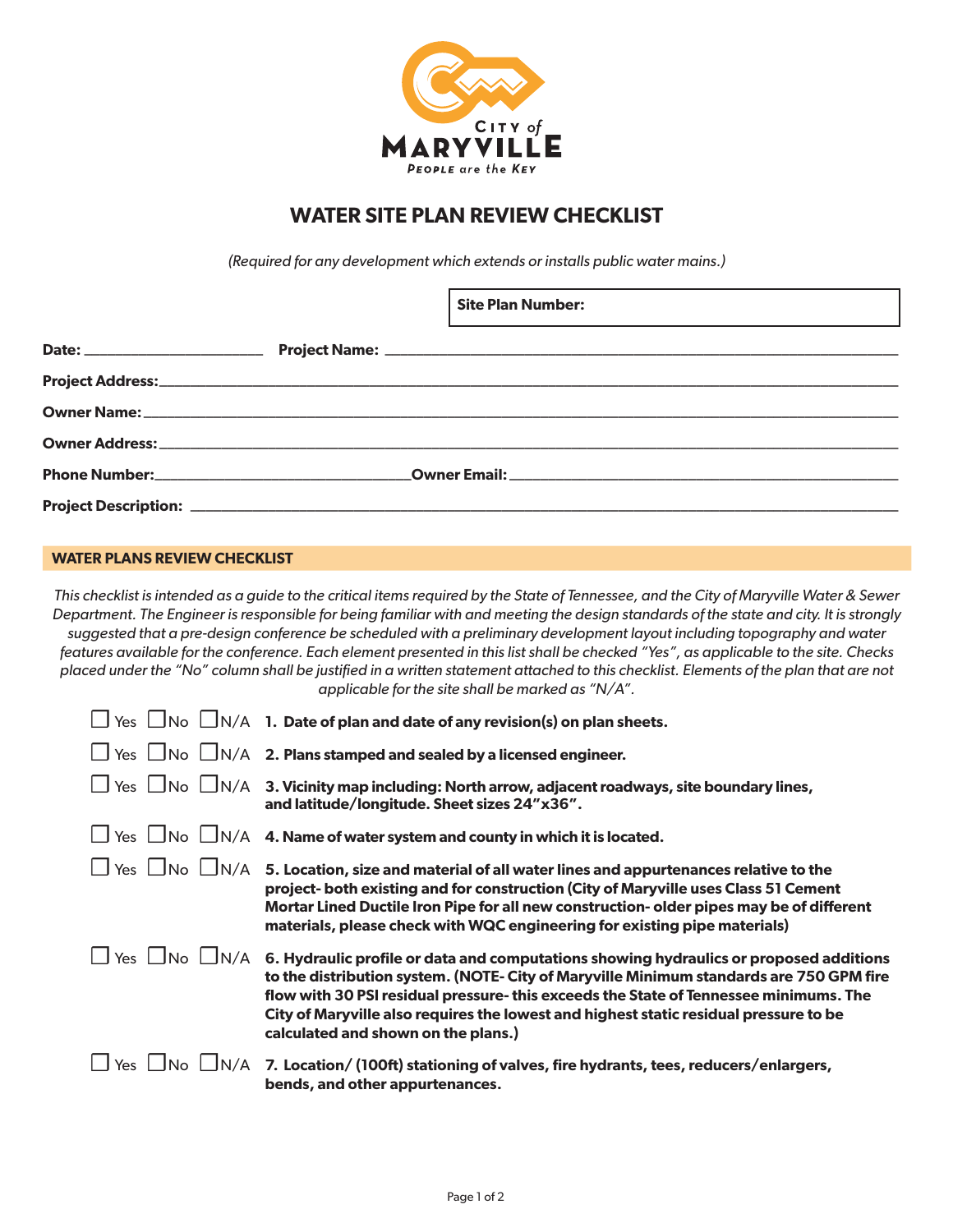

# **WATER SITE PLAN REVIEW CHECKLIST**

*(Required for any development which extends or installs public water mains.)*

|  |  | <b>Site Plan Number:</b><br><u> 1990 - Jan James Sandar, martin da shekara ta 1990 - An tsara tsara tsara tsara tsara tsara tsara tsara tsar</u> |
|--|--|--------------------------------------------------------------------------------------------------------------------------------------------------|
|  |  |                                                                                                                                                  |
|  |  |                                                                                                                                                  |
|  |  |                                                                                                                                                  |
|  |  |                                                                                                                                                  |
|  |  |                                                                                                                                                  |
|  |  |                                                                                                                                                  |

#### **WATER PLANS REVIEW CHECKLIST**

*This checklist is intended as a guide to the critical items required by the State of Tennessee, and the City of Maryville Water & Sewer Department. The Engineer is responsible for being familiar with and meeting the design standards of the state and city. It is strongly suggested that a pre-design conference be scheduled with a preliminary development layout including topography and water features available for the conference. Each element presented in this list shall be checked "Yes", as applicable to the site. Checks placed under the "No" column shall be justified in a written statement attached to this checklist. Elements of the plan that are not applicable for the site shall be marked as "N/A".*

| $\Box$ Yes $\Box$ No        | $\bigsqcup$ N/A 1. Date of plan and date of any revision(s) on plan sheets.                                                                                                                                                                                                                                                                                                                               |
|-----------------------------|-----------------------------------------------------------------------------------------------------------------------------------------------------------------------------------------------------------------------------------------------------------------------------------------------------------------------------------------------------------------------------------------------------------|
|                             | $\Box$ Yes $\Box$ No $\Box$ N/A 2. Plans stamped and sealed by a licensed engineer.                                                                                                                                                                                                                                                                                                                       |
|                             | $\Box$ Yes $\,\Box$ N $\circ\,\Box$ N/A $\,$ 3. Vicinity map including: North arrow, adjacent roadways, site boundary lines,<br>and latitude/longitude. Sheet sizes 24"x36".                                                                                                                                                                                                                              |
|                             | $\Box$ Yes $\Box$ No $\Box$ N/A 4. Name of water system and county in which it is located.                                                                                                                                                                                                                                                                                                                |
|                             | $\Box$ Yes $\Box$ No $\Box$ N/A $\,$ 5. Location, size and material of all water lines and appurtenances relative to the<br>project- both existing and for construction (City of Maryville uses Class 51 Cement<br>Mortar Lined Ductile Iron Pipe for all new construction- older pipes may be of different<br>materials, please check with WQC engineering for existing pipe materials)                  |
| $\Box$ N/A<br>Yes $\Box$ No | 6. Hydraulic profile or data and computations showing hydraulics or proposed additions<br>to the distribution system. (NOTE- City of Maryville Minimum standards are 750 GPM fire<br>flow with 30 PSI residual pressure-this exceeds the State of Tennessee minimums. The<br>City of Maryville also requires the lowest and highest static residual pressure to be<br>calculated and shown on the plans.) |
| $\Box N/A$<br>Yes $\Box$ No | 7. Location/(100ft) stationing of valves, fire hydrants, tees, reducers/enlargers,<br>bends, and other appurtenances.                                                                                                                                                                                                                                                                                     |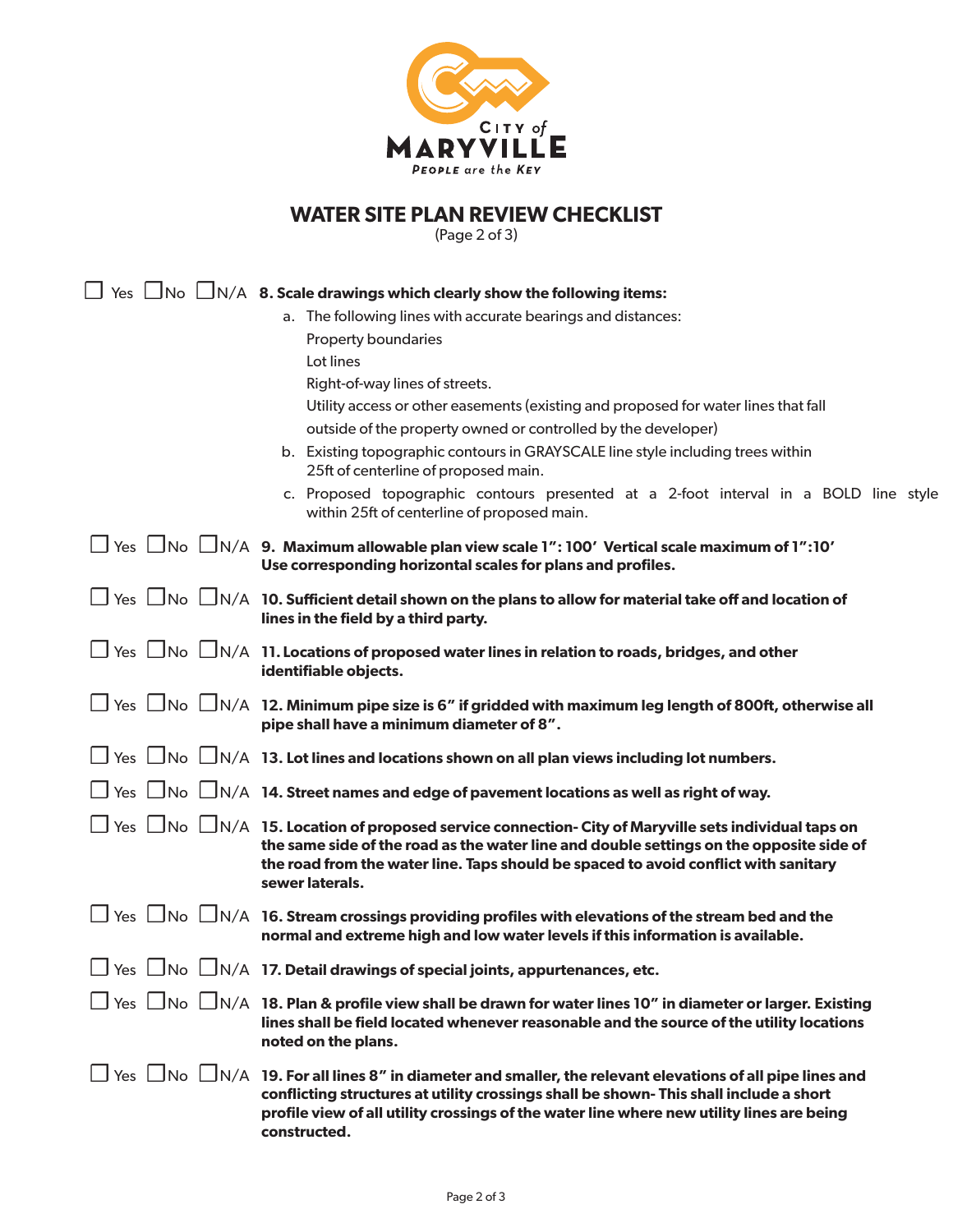

# **WATER SITE PLAN REVIEW CHECKLIST**

(Page 2 of 3)

|  | $\Box$ Yes $\Box$ No $\Box$ N/A $\,$ 8. Scale drawings which clearly show the following items:                                                                                                                                                                                                                                          |
|--|-----------------------------------------------------------------------------------------------------------------------------------------------------------------------------------------------------------------------------------------------------------------------------------------------------------------------------------------|
|  | a. The following lines with accurate bearings and distances:                                                                                                                                                                                                                                                                            |
|  | Property boundaries                                                                                                                                                                                                                                                                                                                     |
|  | Lot lines                                                                                                                                                                                                                                                                                                                               |
|  | Right-of-way lines of streets.                                                                                                                                                                                                                                                                                                          |
|  | Utility access or other easements (existing and proposed for water lines that fall                                                                                                                                                                                                                                                      |
|  | outside of the property owned or controlled by the developer)                                                                                                                                                                                                                                                                           |
|  | b. Existing topographic contours in GRAYSCALE line style including trees within<br>25ft of centerline of proposed main.                                                                                                                                                                                                                 |
|  | c. Proposed topographic contours presented at a 2-foot interval in a BOLD line style<br>within 25ft of centerline of proposed main.                                                                                                                                                                                                     |
|  | $\Box$ Yes $\Box$ No $\Box$ N/A 9. Maximum allowable plan view scale 1": 100' Vertical scale maximum of 1":10'<br>Use corresponding horizontal scales for plans and profiles.                                                                                                                                                           |
|  | $\Box$ Yes $\Box$ No $\Box$ N/A 10. Sufficient detail shown on the plans to allow for material take off and location of<br>lines in the field by a third party.                                                                                                                                                                         |
|  | $\Box$ Yes $\Box$ No $\Box$ N/A 11. Locations of proposed water lines in relation to roads, bridges, and other<br>identifiable objects.                                                                                                                                                                                                 |
|  | $\Box$ Yes $\Box$ No $\Box$ N/A 12. Minimum pipe size is 6" if gridded with maximum leg length of 800ft, otherwise all<br>pipe shall have a minimum diameter of 8".                                                                                                                                                                     |
|  | $\Box$ Yes $\Box$ No $\Box$ N/A 13. Lot lines and locations shown on all plan views including lot numbers.                                                                                                                                                                                                                              |
|  | $\Box$ Yes $\Box$ No $\Box$ N/A 14. Street names and edge of pavement locations as well as right of way.                                                                                                                                                                                                                                |
|  | $\Box$ Yes $\Box$ No $\Box$ N/A $\,$ 15. Location of proposed service connection- City of Maryville sets individual taps on<br>the same side of the road as the water line and double settings on the opposite side of<br>the road from the water line. Taps should be spaced to avoid conflict with sanitary<br>sewer laterals.        |
|  | $\Box$ Yes $\Box$ No $\Box$ N/A 16. Stream crossings providing profiles with elevations of the stream bed and the<br>normal and extreme high and low water levels if this information is available.                                                                                                                                     |
|  | $\Box$ Yes $\Box$ No $\Box$ N/A 17. Detail drawings of special joints, appurtenances, etc.                                                                                                                                                                                                                                              |
|  | $\Box$ Yes $\Box$ No $\Box$ N/A 18. Plan & profile view shall be drawn for water lines 10" in diameter or larger. Existing<br>lines shall be field located whenever reasonable and the source of the utility locations<br>noted on the plans.                                                                                           |
|  | $\Box$ Yes $\Box$ No $\Box$ N/A $\,$ 19. For all lines 8" in diameter and smaller, the relevant elevations of all pipe lines and<br>conflicting structures at utility crossings shall be shown- This shall include a short<br>profile view of all utility crossings of the water line where new utility lines are being<br>constructed. |